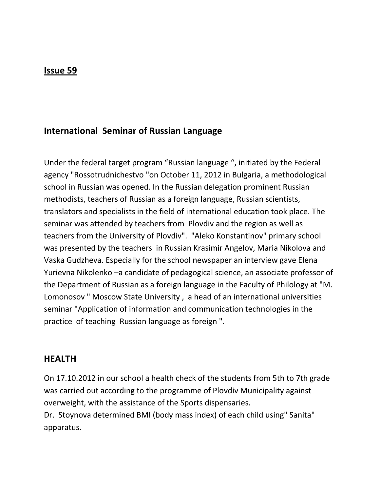## **Issue 59**

# **International Seminar of Russian Language**

Under the federal target program "Russian language ", initiated by the Federal agency "Rossotrudnichestvo "on October 11, 2012 in Bulgaria, a methodological school in Russian was opened. In the Russian delegation prominent Russian methodists, teachers of Russian as a foreign language, Russian scientists, translators and specialists in the field of international education took place. The seminar was attended by teachers from Plovdiv and the region as well as teachers from the University of Plovdiv". "Aleko Konstantinov" primary school was presented by the teachers in Russian Krasimir Angelov, Maria Nikolova and Vaska Gudzheva. Especially for the school newspaper an interview gave Elena Yurievna Nikolenko –a candidate of pedagogical science, an associate professor of the Department of Russian as a foreign language in the Faculty of Philology at "M. Lomonosov " Moscow State University , a head of an international universities seminar "Application of information and communication technologies in the practice of teaching Russian language as foreign ".

#### **HEALTH**

On 17.10.2012 in our school a health check of the students from 5th to 7th grade was carried out according to the programme of Plovdiv Municipality against overweight, with the assistance of the Sports dispensaries.

Dr. Stoynova determined BMI (body mass index) of each child using" Sanita" apparatus.